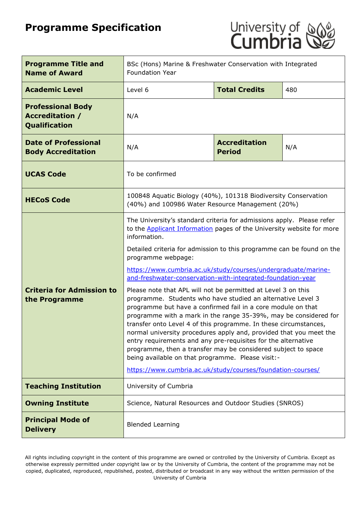# **Programme Specification**



| <b>Programme Title and</b><br><b>Name of Award</b>                         | BSc (Hons) Marine & Freshwater Conservation with Integrated<br><b>Foundation Year</b>                                                                                                                                                                                                                                                                                                                                                                                                                                                                                                                                                                                                                                                                                                                                                                                                                                                                                                                     |                                       |     |
|----------------------------------------------------------------------------|-----------------------------------------------------------------------------------------------------------------------------------------------------------------------------------------------------------------------------------------------------------------------------------------------------------------------------------------------------------------------------------------------------------------------------------------------------------------------------------------------------------------------------------------------------------------------------------------------------------------------------------------------------------------------------------------------------------------------------------------------------------------------------------------------------------------------------------------------------------------------------------------------------------------------------------------------------------------------------------------------------------|---------------------------------------|-----|
| <b>Academic Level</b>                                                      | Level 6                                                                                                                                                                                                                                                                                                                                                                                                                                                                                                                                                                                                                                                                                                                                                                                                                                                                                                                                                                                                   | <b>Total Credits</b>                  | 480 |
| <b>Professional Body</b><br><b>Accreditation /</b><br><b>Qualification</b> | N/A                                                                                                                                                                                                                                                                                                                                                                                                                                                                                                                                                                                                                                                                                                                                                                                                                                                                                                                                                                                                       |                                       |     |
| <b>Date of Professional</b><br><b>Body Accreditation</b>                   | N/A                                                                                                                                                                                                                                                                                                                                                                                                                                                                                                                                                                                                                                                                                                                                                                                                                                                                                                                                                                                                       | <b>Accreditation</b><br><b>Period</b> | N/A |
| <b>UCAS Code</b>                                                           | To be confirmed                                                                                                                                                                                                                                                                                                                                                                                                                                                                                                                                                                                                                                                                                                                                                                                                                                                                                                                                                                                           |                                       |     |
| <b>HECoS Code</b>                                                          | 100848 Aquatic Biology (40%), 101318 Biodiversity Conservation<br>(40%) and 100986 Water Resource Management (20%)                                                                                                                                                                                                                                                                                                                                                                                                                                                                                                                                                                                                                                                                                                                                                                                                                                                                                        |                                       |     |
| <b>Criteria for Admission to</b><br>the Programme                          | The University's standard criteria for admissions apply. Please refer<br>to the <b>Applicant Information</b> pages of the University website for more<br>information.<br>Detailed criteria for admission to this programme can be found on the<br>programme webpage:<br>https://www.cumbria.ac.uk/study/courses/undergraduate/marine-<br>and-freshwater-conservation-with-integrated-foundation-year<br>Please note that APL will not be permitted at Level 3 on this<br>programme. Students who have studied an alternative Level 3<br>programme but have a confirmed fail in a core module on that<br>programme with a mark in the range 35-39%, may be considered for<br>transfer onto Level 4 of this programme. In these circumstances,<br>normal university procedures apply and, provided that you meet the<br>entry requirements and any pre-requisites for the alternative<br>programme, then a transfer may be considered subject to space<br>being available on that programme. Please visit:- |                                       |     |
| <b>Teaching Institution</b>                                                | University of Cumbria                                                                                                                                                                                                                                                                                                                                                                                                                                                                                                                                                                                                                                                                                                                                                                                                                                                                                                                                                                                     |                                       |     |
| <b>Owning Institute</b>                                                    | Science, Natural Resources and Outdoor Studies (SNROS)                                                                                                                                                                                                                                                                                                                                                                                                                                                                                                                                                                                                                                                                                                                                                                                                                                                                                                                                                    |                                       |     |
| <b>Principal Mode of</b><br><b>Delivery</b>                                | <b>Blended Learning</b>                                                                                                                                                                                                                                                                                                                                                                                                                                                                                                                                                                                                                                                                                                                                                                                                                                                                                                                                                                                   |                                       |     |

All rights including copyright in the content of this programme are owned or controlled by the University of Cumbria. Except as otherwise expressly permitted under copyright law or by the University of Cumbria, the content of the programme may not be copied, duplicated, reproduced, republished, posted, distributed or broadcast in any way without the written permission of the University of Cumbria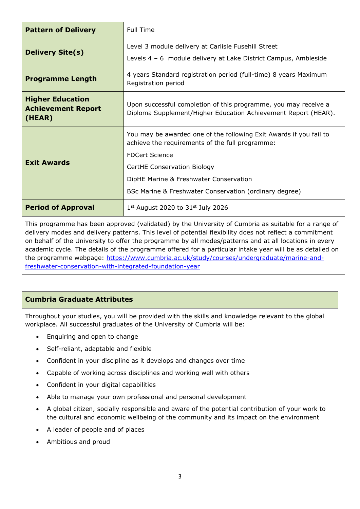| <b>Pattern of Delivery</b>                                                                                                                                                                                                                                                                              | <b>Full Time</b>                                                                                                                  |  |  |
|---------------------------------------------------------------------------------------------------------------------------------------------------------------------------------------------------------------------------------------------------------------------------------------------------------|-----------------------------------------------------------------------------------------------------------------------------------|--|--|
| Level 3 module delivery at Carlisle Fusehill Street<br><b>Delivery Site(s)</b><br>Levels 4 - 6 module delivery at Lake District Campus, Ambleside                                                                                                                                                       |                                                                                                                                   |  |  |
| <b>Programme Length</b>                                                                                                                                                                                                                                                                                 | 4 years Standard registration period (full-time) 8 years Maximum<br>Registration period                                           |  |  |
| <b>Higher Education</b><br><b>Achievement Report</b><br>(HEAR)                                                                                                                                                                                                                                          | Upon successful completion of this programme, you may receive a<br>Diploma Supplement/Higher Education Achievement Report (HEAR). |  |  |
| You may be awarded one of the following Exit Awards if you fail to<br>achieve the requirements of the full programme:<br><b>FDCert Science</b><br><b>Exit Awards</b><br>CertHE Conservation Biology<br>DipHE Marine & Freshwater Conservation<br>BSc Marine & Freshwater Conservation (ordinary degree) |                                                                                                                                   |  |  |
| <b>Period of Approval</b>                                                                                                                                                                                                                                                                               | $1st$ August 2020 to 31 <sup>st</sup> July 2026                                                                                   |  |  |

This programme has been approved (validated) by the University of Cumbria as suitable for a range of delivery modes and delivery patterns. This level of potential flexibility does not reflect a commitment on behalf of the University to offer the programme by all modes/patterns and at all locations in every academic cycle. The details of the programme offered for a particular intake year will be as detailed on the programme webpage: [https://www.cumbria.ac.uk/study/courses/undergraduate/marine-and](https://www.cumbria.ac.uk/study/courses/undergraduate/marine-and-freshwater-conservation-with-integrated-foundation-year)[freshwater-conservation-with-integrated-foundation-year](https://www.cumbria.ac.uk/study/courses/undergraduate/marine-and-freshwater-conservation-with-integrated-foundation-year)

## **Cumbria Graduate Attributes**

Throughout your studies, you will be provided with the skills and knowledge relevant to the global workplace. All successful graduates of the University of Cumbria will be:

- Enquiring and open to change
- Self-reliant, adaptable and flexible
- Confident in your discipline as it develops and changes over time
- Capable of working across disciplines and working well with others
- Confident in your digital capabilities
- Able to manage your own professional and personal development
- A global citizen, socially responsible and aware of the potential contribution of your work to the cultural and economic wellbeing of the community and its impact on the environment
- A leader of people and of places
- Ambitious and proud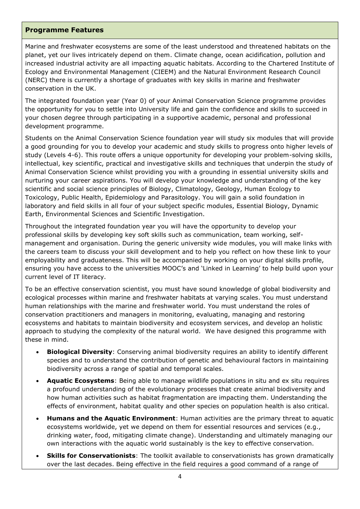#### **Programme Features**

Marine and freshwater ecosystems are some of the least understood and threatened habitats on the planet, yet our lives intricately depend on them. Climate change, ocean acidification, pollution and increased industrial activity are all impacting aquatic habitats. According to the Chartered Institute of Ecology and Environmental Management (CIEEM) and the Natural Environment Research Council (NERC) there is currently a shortage of graduates with key skills in marine and freshwater conservation in the UK.

The integrated foundation year (Year 0) of your Animal Conservation Science programme provides the opportunity for you to settle into University life and gain the confidence and skills to succeed in your chosen degree through participating in a supportive academic, personal and professional development programme.

Students on the Animal Conservation Science foundation year will study six modules that will provide a good grounding for you to develop your academic and study skills to progress onto higher levels of study (Levels 4-6). This route offers a unique opportunity for developing your problem-solving skills, intellectual, key scientific, practical and investigative skills and techniques that underpin the study of Animal Conservation Science whilst providing you with a grounding in essential university skills and nurturing your career aspirations. You will develop your knowledge and understanding of the key scientific and social science principles of Biology, Climatology, Geology, Human Ecology to Toxicology, Public Health, Epidemiology and Parasitology. You will gain a solid foundation in laboratory and field skills in all four of your subject specific modules, Essential Biology, Dynamic Earth, Environmental Sciences and Scientific Investigation.

Throughout the integrated foundation year you will have the opportunity to develop your professional skills by developing key soft skills such as communication, team working, selfmanagement and organisation. During the generic university wide modules, you will make links with the careers team to discuss your skill development and to help you reflect on how these link to your employability and graduateness. This will be accompanied by working on your digital skills profile, ensuring you have access to the universities MOOC's and 'Linked in Learning' to help build upon your current level of IT literacy.

To be an effective conservation scientist, you must have sound knowledge of global biodiversity and ecological processes within marine and freshwater habitats at varying scales. You must understand human relationships with the marine and freshwater world. You must understand the roles of conservation practitioners and managers in monitoring, evaluating, managing and restoring ecosystems and habitats to maintain biodiversity and ecosystem services, and develop an holistic approach to studying the complexity of the natural world. We have designed this programme with these in mind.

- **Biological Diversity**: Conserving animal biodiversity requires an ability to identify different species and to understand the contribution of genetic and behavioural factors in maintaining biodiversity across a range of spatial and temporal scales.
- **Aquatic Ecosystems**: Being able to manage wildlife populations in situ and ex situ requires a profound understanding of the evolutionary processes that create animal biodiversity and how human activities such as habitat fragmentation are impacting them. Understanding the effects of environment, habitat quality and other species on population health is also critical.
- **Humans and the Aquatic Environment**: Human activities are the primary threat to aquatic ecosystems worldwide, yet we depend on them for essential resources and services (e.g., drinking water, food, mitigating climate change). Understanding and ultimately managing our own interactions with the aquatic world sustainably is the key to effective conservation.
- **Skills for Conservationists**: The toolkit available to conservationists has grown dramatically over the last decades. Being effective in the field requires a good command of a range of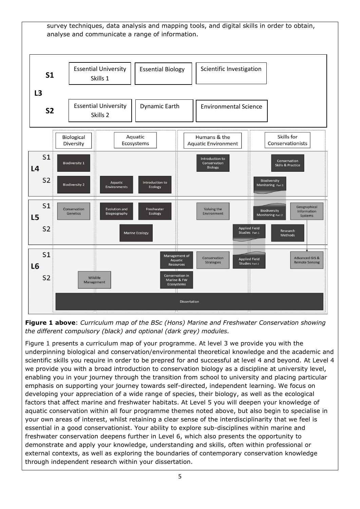

**Figure 1 above**: *Curriculum map of the BSc (Hons) Marine and Freshwater Conservation showing the different compulsory (black) and optional (dark grey) modules.*

Figure 1 presents a curriculum map of your programme. At level 3 we provide you with the underpinning biological and conservation/environmental theoretical knowledge and the academic and scientific skills you require in order to be prepred for and successful at level 4 and beyond. At Level 4 we provide you with a broad introduction to conservation biology as a discipline at university level, enabling you in your journey through the transition from school to university and placing particular emphasis on supporting your journey towards self-directed, independent learning. We focus on developing your appreciation of a wide range of species, their biology, as well as the ecological factors that affect marine and freshwater habitats. At Level 5 you will deepen your knowledge of aquatic conservation within all four programme themes noted above, but also begin to specialise in your own areas of interest, whilst retaining a clear sense of the interdisciplinarity that we feel is essential in a good conservationist. Your ability to explore sub-disciplines within marine and freshwater conservation deepens further in Level 6, which also presents the opportunity to demonstrate and apply your knowledge, understanding and skills, often within professional or external contexts, as well as exploring the boundaries of contemporary conservation knowledge through independent research within your dissertation.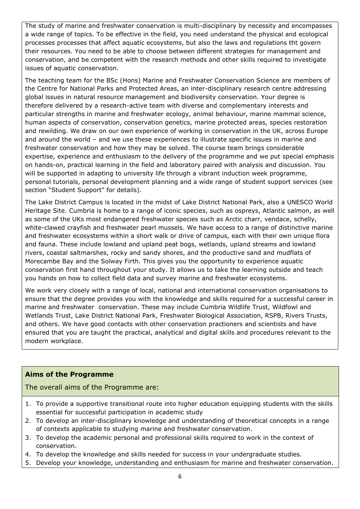The study of marine and freshwater conservation is multi-disciplinary by necessity and encompasses a wide range of topics. To be effective in the field, you need understand the physical and ecological processes processes that affect aquatic ecosystems, but also the laws and regulations tht govern their resources. You need to be able to choose between different strategies for management and conservation, and be competent with the research methods and other skills required to investigate issues of aquatic conservation.

The teaching team for the BSc (Hons) Marine and Freshwater Conservation Science are members of the Centre for National Parks and Protected Areas, an inter-disciplinary research centre addressing global issues in natural resource management and biodiversity conservation. Your degree is therefore delivered by a research-active team with diverse and complementary interests and particular strengths in marine and freshwater ecology, animal behaviour, marine mammal science, human aspects of conservation, conservation genetics, marine protected areas, species restoration and rewilding. We draw on our own experience of working in conservation in the UK, across Europe and around the world – and we use these experiences to illustrate specific issues in marine and freshwater conservation and how they may be solved. The course team brings considerable expertise, experience and enthusiasm to the delivery of the programme and we put special emphasis on hands-on, practical learning in the field and laboratory paired with analysis and discussion. You will be supported in adapting to university life through a vibrant induction week programme, personal tutorials, personal development planning and a wide range of student support services (see section "Student Support" for details).

The Lake District Campus is located in the midst of Lake District National Park, also a UNESCO World Heritage Site. Cumbria is home to a range of iconic species, such as ospreys, Atlantic salmon, as well as some of the UKs most endangered freshwater species such as Arctic charr, vendace, schelly, white-clawed crayfish and freshwater pearl mussels. We have access to a range of distinctive marine and freshwater ecosystems within a short walk or drive of campus, each with their own unique flora and fauna. These include lowland and upland peat bogs, wetlands, upland streams and lowland rivers, coastal saltmarshes, rocky and sandy shores, and the productive sand and mudflats of Morecambe Bay and the Solway Firth. This gives you the opportunity to experience aquatic conservation first hand throughout your study. It allows us to take the learning outside and teach you hands on how to collect field data and survey marine and freshwater ecosystems.

We work very closely with a range of local, national and international conservation organisations to ensure that the degree provides you with the knowledge and skills required for a successful career in marine and freshwater conservation. These may include Cumbria Wildlife Trust, Wildfowl and Wetlands Trust, Lake District National Park, Freshwater Biological Association, RSPB, Rivers Trusts, and others. We have good contacts with other conservation practioners and scientists and have ensured that you are taught the practical, analytical and digital skills and procedures relevant to the modern workplace.

#### **Aims of the Programme**

The overall aims of the Programme are:

- 1. To provide a supportive transitional route into higher education equipping students with the skills essential for successful participation in academic study
- 2. To develop an inter-disciplinary knowledge and understanding of theoretical concepts in a range of contexts applicable to studying marine and freshwater conservation.
- 3. To develop the academic personal and professional skills required to work in the context of conservation.
- 4. To develop the knowledge and skills needed for success in your undergraduate studies.
- 5. Develop your knowledge, understanding and enthusiasm for marine and freshwater conservation.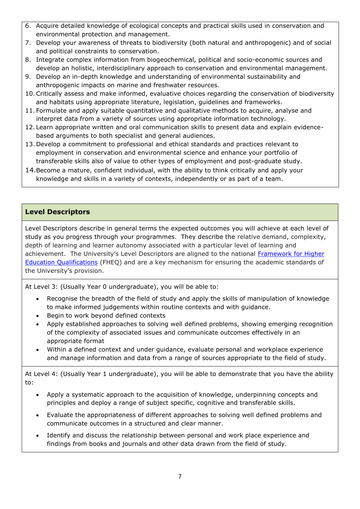- 6. Acquire detailed knowledge of ecological concepts and practical skills used in conservation and environmental protection and management.
- 7. Develop your awareness of threats to biodiversity (both natural and anthropogenic) and of social and political constraints to conservation.
- 8. Integrate complex information from biogeochemical, political and socio-economic sources and develop an holistic, interdisciplinary approach to conservation and environmental management.
- 9. Develop an in-depth knowledge and understanding of environmental sustainability and anthropogenic impacts on marine and freshwater resources.
- 10.Critically assess and make informed, evaluative choices regarding the conservation of biodiversity and habitats using appropriate literature, legislation, guidelines and frameworks.
- 11. Formulate and apply suitable quantitative and qualitative methods to acquire, analyse and interpret data from a variety of sources using appropriate information technology.
- 12. Learn appropriate written and oral communication skills to present data and explain evidencebased arguments to both specialist and general audiences.
- 13. Develop a commitment to professional and ethical standards and practices relevant to employment in conservation and environmental science and enhance your portfolio of transferable skills also of value to other types of employment and post-graduate study.
- 14.Become a mature, confident individual, with the ability to think critically and apply your knowledge and skills in a variety of contexts, independently or as part of a team.

## **Level Descriptors**

Level Descriptors describe in general terms the expected outcomes you will achieve at each level of study as you progress through your programmes. They describe the relative demand, complexity, depth of learning and learner autonomy associated with a particular level of learning and achievement. The University's Level Descriptors are aligned to the national Framework for Higher [Education Qualifications](http://www.qaa.ac.uk/en/Publications/Documents/qualifications-frameworks.pdf) (FHEQ) and are a key mechanism for ensuring the academic standards of the University's provision.

At Level 3: (Usually Year 0 undergraduate), you will be able to:

- Recognise the breadth of the field of study and apply the skills of manipulation of knowledge to make informed judgements within routine contexts and with guidance.
- Begin to work beyond defined contexts
- Apply established approaches to solving well defined problems, showing emerging recognition of the complexity of associated issues and communicate outcomes effectively in an appropriate format
- Within a defined context and under guidance, evaluate personal and workplace experience and manage information and data from a range of sources appropriate to the field of study.

At Level 4: (Usually Year 1 undergraduate), you will be able to demonstrate that you have the ability to:

- Apply a systematic approach to the acquisition of knowledge, underpinning concepts and principles and deploy a range of subject specific, cognitive and transferable skills.
- Evaluate the appropriateness of different approaches to solving well defined problems and communicate outcomes in a structured and clear manner.
- Identify and discuss the relationship between personal and work place experience and findings from books and journals and other data drawn from the field of study.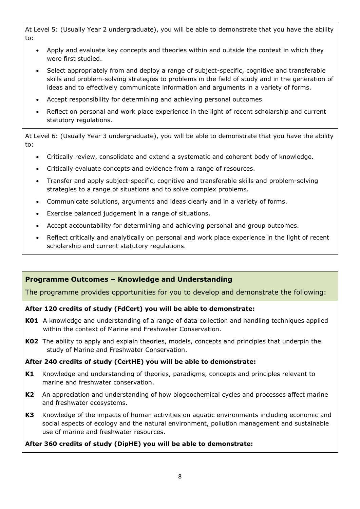At Level 5: (Usually Year 2 undergraduate), you will be able to demonstrate that you have the ability to:

- Apply and evaluate key concepts and theories within and outside the context in which they were first studied.
- Select appropriately from and deploy a range of subject-specific, cognitive and transferable skills and problem-solving strategies to problems in the field of study and in the generation of ideas and to effectively communicate information and arguments in a variety of forms.
- Accept responsibility for determining and achieving personal outcomes.
- Reflect on personal and work place experience in the light of recent scholarship and current statutory regulations.

At Level 6: (Usually Year 3 undergraduate), you will be able to demonstrate that you have the ability to:

- Critically review, consolidate and extend a systematic and coherent body of knowledge.
- Critically evaluate concepts and evidence from a range of resources.
- Transfer and apply subject-specific, cognitive and transferable skills and problem-solving strategies to a range of situations and to solve complex problems.
- Communicate solutions, arguments and ideas clearly and in a variety of forms.
- Exercise balanced judgement in a range of situations.
- Accept accountability for determining and achieving personal and group outcomes.
- Reflect critically and analytically on personal and work place experience in the light of recent scholarship and current statutory regulations.

#### **Programme Outcomes – Knowledge and Understanding**

The programme provides opportunities for you to develop and demonstrate the following:

#### **After 120 credits of study (FdCert) you will be able to demonstrate:**

- **K01** A knowledge and understanding of a range of data collection and handling techniques applied within the context of Marine and Freshwater Conservation.
- **K02** The ability to apply and explain theories, models, concepts and principles that underpin the study of Marine and Freshwater Conservation.

#### **After 240 credits of study (CertHE) you will be able to demonstrate:**

- **K1** Knowledge and understanding of theories, paradigms, concepts and principles relevant to marine and freshwater conservation.
- **K2** An appreciation and understanding of how biogeochemical cycles and processes affect marine and freshwater ecosystems.
- **K3** Knowledge of the impacts of human activities on aquatic environments including economic and social aspects of ecology and the natural environment, pollution management and sustainable use of marine and freshwater resources.

#### **After 360 credits of study (DipHE) you will be able to demonstrate:**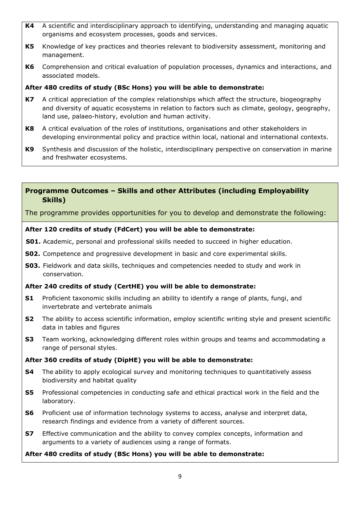- **K4** A scientific and interdisciplinary approach to identifying, understanding and managing aquatic organisms and ecosystem processes, goods and services.
- **K5** Knowledge of key practices and theories relevant to biodiversity assessment, monitoring and management.
- **K6** Comprehension and critical evaluation of population processes, dynamics and interactions, and associated models.

## **After 480 credits of study (BSc Hons) you will be able to demonstrate:**

- **K7** A critical appreciation of the complex relationships which affect the structure, biogeography and diversity of aquatic ecosystems in relation to factors such as climate, geology, geography, land use, palaeo-history, evolution and human activity.
- **K8** A critical evaluation of the roles of institutions, organisations and other stakeholders in developing environmental policy and practice within local, national and international contexts.
- **K9** Synthesis and discussion of the holistic, interdisciplinary perspective on conservation in marine and freshwater ecosystems.

#### **Programme Outcomes – Skills and other Attributes (including Employability Skills)**

The programme provides opportunities for you to develop and demonstrate the following:

#### **After 120 credits of study (FdCert) you will be able to demonstrate:**

- **S01.** Academic, personal and professional skills needed to succeed in higher education.
- **S02.** Competence and progressive development in basic and core experimental skills.
- **S03.** Fieldwork and data skills, techniques and competencies needed to study and work in conservation.

#### **After 240 credits of study (CertHE) you will be able to demonstrate:**

- **S1** Proficient taxonomic skills including an ability to identify a range of plants, fungi, and invertebrate and vertebrate animals
- **S2** The ability to access scientific information, employ scientific writing style and present scientific data in tables and figures
- **S3** Team working, acknowledging different roles within groups and teams and accommodating a range of personal styles.

#### **After 360 credits of study (DipHE) you will be able to demonstrate:**

- **S4** The ability to apply ecological survey and monitoring techniques to quantitatively assess biodiversity and habitat quality
- **S5** Professional competencies in conducting safe and ethical practical work in the field and the laboratory.
- **S6** Proficient use of information technology systems to access, analyse and interpret data, research findings and evidence from a variety of different sources.
- **S7** Effective communication and the ability to convey complex concepts, information and arguments to a variety of audiences using a range of formats.

#### **After 480 credits of study (BSc Hons) you will be able to demonstrate:**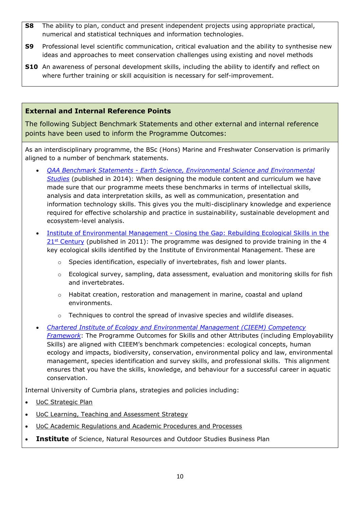- **S8** The ability to plan, conduct and present independent projects using appropriate practical, numerical and statistical techniques and information technologies.
- **S9** Professional level scientific communication, critical evaluation and the ability to synthesise new ideas and approaches to meet conservation challenges using existing and novel methods
- **S10** An awareness of personal development skills, including the ability to identify and reflect on where further training or skill acquisition is necessary for self-improvement.

## **External and Internal Reference Points**

The following Subject Benchmark Statements and other external and internal reference points have been used to inform the Programme Outcomes:

As an interdisciplinary programme, the BSc (Hons) Marine and Freshwater Conservation is primarily aligned to a number of benchmark statements.

- *QAA Benchmark Statements - [Earth Science, Environmental Science and Environmental](https://www.qaa.ac.uk/docs/qaa/subject-benchmark-statements/sbs-earth-sciences-14.pdf?sfvrsn=b0e3f781_10)  [Studies](https://www.qaa.ac.uk/docs/qaa/subject-benchmark-statements/sbs-earth-sciences-14.pdf?sfvrsn=b0e3f781_10)* (published in 2014): When designing the module content and curriculum we have made sure that our programme meets these benchmarks in terms of intellectual skills, analysis and data interpretation skills, as well as communication, presentation and information technology skills. This gives you the multi-disciplinary knowledge and experience required for effective scholarship and practice in sustainability, sustainable development and ecosystem-level analysis.
- Institute of Environmental Management Closing the Gap: Rebuilding Ecological Skills in the  $21<sup>st</sup>$  [Century](http://www.cieem.net/data/resources/36/Education-Closing_The_Gap_Report.pdf) (published in 2011): The programme was designed to provide training in the 4 key ecological skills identified by the Institute of Environmental Management. These are
	- o Species identification, especially of invertebrates, fish and lower plants.
	- $\circ$  Ecological survey, sampling, data assessment, evaluation and monitoring skills for fish and invertebrates.
	- $\circ$  Habitat creation, restoration and management in marine, coastal and upland environments.
	- $\circ$  Techniques to control the spread of invasive species and wildlife diseases.
- *[Chartered Institute of Ecology and Environmental Management \(CIEEM\) Competency](https://cieem.net/resource/competency-framework-high-res/)  [Framework](https://cieem.net/resource/competency-framework-high-res/)*: The Programme Outcomes for Skills and other Attributes (including Employability Skills) are aligned with CIEEM's benchmark competencies: ecological concepts, human ecology and impacts, biodiversity, conservation, environmental policy and law, environmental management, species identification and survey skills, and professional skills. This alignment ensures that you have the skills, knowledge, and behaviour for a successful career in aquatic conservation.

Internal University of Cumbria plans, strategies and policies including:

- [UoC Strategic Plan](https://www.cumbria.ac.uk/about/publications/strategic-plan/)
- [UoC Learning, Teaching and Assessment Strategy](https://www.cumbria.ac.uk/media/university-of-cumbria-website/content-assets/public/aqs/documents/LearningTeachingAssessmentStrategy.pdf)
- [UoC Academic Regulations and Academic Procedures and Processes](https://www.cumbria.ac.uk/about/organisation/professional-services/academic-quality-and-development/academic-regulations/)
- **Institute** of Science, Natural Resources and Outdoor Studies Business Plan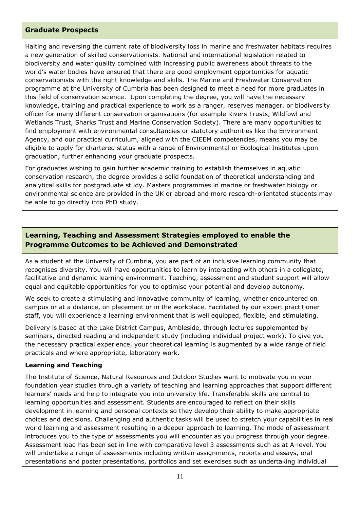#### **Graduate Prospects**

Halting and reversing the current rate of biodiversity loss in marine and freshwater habitats requires a new generation of skilled conservationists. National and international legislation related to biodiversity and water quality combined with increasing public awareness about threats to the world's water bodies have ensured that there are good employment opportunities for aquatic conservationists with the right knowledge and skills. The Marine and Freshwater Conservation programme at the University of Cumbria has been designed to meet a need for more graduates in this field of conservation science. Upon completing the degree, you will have the necessary knowledge, training and practical experience to work as a ranger, reserves manager, or biodiversity officer for many different conservation organisations (for example Rivers Trusts, Wildfowl and Wetlands Trust, Sharks Trust and Marine Conservation Society). There are many opportunities to find employment with environmental consultancies or statutory authorities like the Environment Agency, and our practical curriculum, aligned with the CIEEM competencies, means you may be eligible to apply for chartered status with a range of Environmental or Ecological Institutes upon graduation, further enhancing your graduate prospects.

For graduates wishing to gain further academic training to establish themselves in aquatic conservation research, the degree provides a solid foundation of theoretical understanding and analytical skills for postgraduate study. Masters programmes in marine or freshwater biology or environmental science are provided in the UK or abroad and more research-orientated students may be able to go directly into PhD study.

## **Learning, Teaching and Assessment Strategies employed to enable the Programme Outcomes to be Achieved and Demonstrated**

As a student at the University of Cumbria, you are part of an inclusive learning community that recognises diversity. You will have opportunities to learn by interacting with others in a collegiate, facilitative and dynamic learning environment. Teaching, assessment and student support will allow equal and equitable opportunities for you to optimise your potential and develop autonomy.

We seek to create a stimulating and innovative community of learning, whether encountered on campus or at a distance, on placement or in the workplace. Facilitated by our expert practitioner staff, you will experience a learning environment that is well equipped, flexible, and stimulating.

Delivery is based at the Lake District Campus, Ambleside, through lectures supplemented by seminars, directed reading and independent study (including individual project work). To give you the necessary practical experience, your theoretical learning is augmented by a wide range of field practicals and where appropriate, laboratory work.

#### **Learning and Teaching**

The Institute of Science, Natural Resources and Outdoor Studies want to motivate you in your foundation year studies through a variety of teaching and learning approaches that support different learners' needs and help to integrate you into university life. Transferable skills are central to learning opportunities and assessment. Students are encouraged to reflect on their skills development in learning and personal contexts so they develop their ability to make appropriate choices and decisions. Challenging and authentic tasks will be used to stretch your capabilities in real world learning and assessment resulting in a deeper approach to learning. The mode of assessment introduces you to the type of assessments you will encounter as you progress through your degree. Assessment load has been set in line with comparative level 3 assessments such as at A-level. You will undertake a range of assessments including written assignments, reports and essays, oral presentations and poster presentations, portfolios and set exercises such as undertaking individual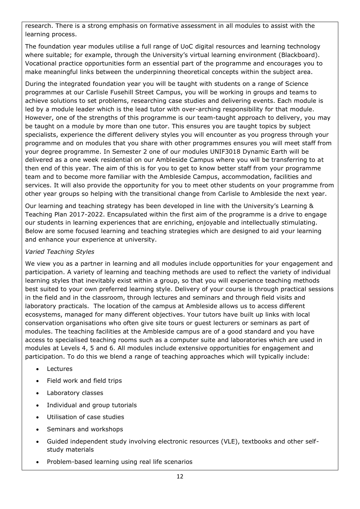research. There is a strong emphasis on formative assessment in all modules to assist with the learning process.

The foundation year modules utilise a full range of UoC digital resources and learning technology where suitable; for example, through the University's virtual learning environment (Blackboard). Vocational practice opportunities form an essential part of the programme and encourages you to make meaningful links between the underpinning theoretical concepts within the subject area.

During the integrated foundation year you will be taught with students on a range of Science programmes at our Carlisle Fusehill Street Campus, you will be working in groups and teams to achieve solutions to set problems, researching case studies and delivering events. Each module is led by a module leader which is the lead tutor with over-arching responsibility for that module. However, one of the strengths of this programme is our team-taught approach to delivery, you may be taught on a module by more than one tutor. This ensures you are taught topics by subject specialists, experience the different delivery styles you will encounter as you progress through your programme and on modules that you share with other programmes ensures you will meet staff from your degree programme. In Semester 2 one of our modules UNIF3018 Dynamic Earth will be delivered as a one week residential on our Ambleside Campus where you will be transferring to at then end of this year. The aim of this is for you to get to know better staff from your programme team and to become more familiar with the Ambleside Campus, accommodation, facilities and services. It will also provide the opportunity for you to meet other students on your programme from other year groups so helping with the transitional change from Carlisle to Ambleside the next year.

Our learning and teaching strategy has been developed in line with the University's Learning & Teaching Plan 2017-2022. Encapsulated within the first aim of the programme is a drive to engage our students in learning experiences that are enriching, enjoyable and intellectually stimulating. Below are some focused learning and teaching strategies which are designed to aid your learning and enhance your experience at university.

#### *Varied Teaching Styles*

We view you as a partner in learning and all modules include opportunities for your engagement and participation. A variety of learning and teaching methods are used to reflect the variety of individual learning styles that inevitably exist within a group, so that you will experience teaching methods best suited to your own preferred learning style. Delivery of your course is through practical sessions in the field and in the classroom, through lectures and seminars and through field visits and laboratory practicals. The location of the campus at Ambleside allows us to access different ecosystems, managed for many different objectives. Your tutors have built up links with local conservation organisations who often give site tours or guest lecturers or seminars as part of modules. The teaching facilities at the Ambleside campus are of a good standard and you have access to specialised teaching rooms such as a computer suite and laboratories which are used in modules at Levels 4, 5 and 6. All modules include extensive opportunities for engagement and participation. To do this we blend a range of teaching approaches which will typically include:

- Lectures
- Field work and field trips
- Laboratory classes
- Individual and group tutorials
- Utilisation of case studies
- Seminars and workshops
- Guided independent study involving electronic resources (VLE), textbooks and other selfstudy materials
- Problem-based learning using real life scenarios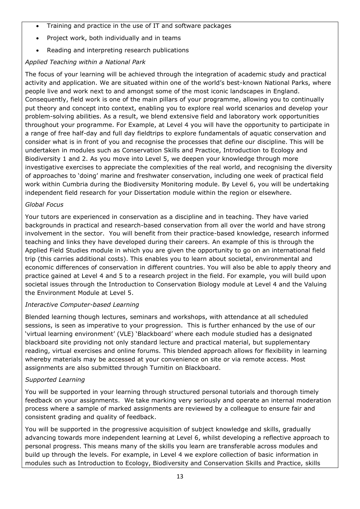- Training and practice in the use of IT and software packages
- Project work, both individually and in teams
- Reading and interpreting research publications

## *Applied Teaching within a National Park*

The focus of your learning will be achieved through the integration of academic study and practical activity and application. We are situated within one of the world's best-known National Parks, where people live and work next to and amongst some of the most iconic landscapes in England. Consequently, field work is one of the main pillars of your programme, allowing you to continually put theory and concept into context, enabling you to explore real world scenarios and develop your problem-solving abilities. As a result, we blend extensive field and laboratory work opportunities throughout your programme. For Example, at Level 4 you will have the opportunity to participate in a range of free half-day and full day fieldtrips to explore fundamentals of aquatic conservation and consider what is in front of you and recognise the processes that define our discipline. This will be undertaken in modules such as Conservation Skills and Practice, Introduction to Ecology and Biodiversity 1 and 2. As you move into Level 5, we deepen your knowledge through more investigative exercises to appreciate the complexities of the real world, and recognising the diversity of approaches to 'doing' marine and freshwater conservation, including one week of practical field work within Cumbria during the Biodiversity Monitoring module. By Level 6, you will be undertaking independent field research for your Dissertation module within the region or elsewhere.

#### *Global Focus*

Your tutors are experienced in conservation as a discipline and in teaching. They have varied backgrounds in practical and research-based conservation from all over the world and have strong involvement in the sector. You will benefit from their practice-based knowledge, research informed teaching and links they have developed during their careers. An example of this is through the Applied Field Studies module in which you are given the opportunity to go on an international field trip (this carries additional costs). This enables you to learn about societal, environmental and economic differences of conservation in different countries. You will also be able to apply theory and practice gained at Level 4 and 5 to a research project in the field. For example, you will build upon societal issues through the Introduction to Conservation Biology module at Level 4 and the Valuing the Environment Module at Level 5.

#### *Interactive Computer-based Learning*

Blended learning though lectures, seminars and workshops, with attendance at all scheduled sessions, is seen as imperative to your progression. This is further enhanced by the use of our 'virtual learning environment' (VLE) 'Blackboard' where each module studied has a designated blackboard site providing not only standard lecture and practical material, but supplementary reading, virtual exercises and online forums. This blended approach allows for flexibility in learning whereby materials may be accessed at your convenience on site or via remote access. Most assignments are also submitted through Turnitin on Blackboard.

#### *Supported Learning*

You will be supported in your learning through structured personal tutorials and thorough timely feedback on your assignments. We take marking very seriously and operate an internal moderation process where a sample of marked assignments are reviewed by a colleague to ensure fair and consistent grading and quality of feedback.

You will be supported in the progressive acquisition of subject knowledge and skills, gradually advancing towards more independent learning at Level 6, whilst developing a reflective approach to personal progress. This means many of the skills you learn are transferable across modules and build up through the levels. For example, in Level 4 we explore collection of basic information in modules such as Introduction to Ecology, Biodiversity and Conservation Skills and Practice, skills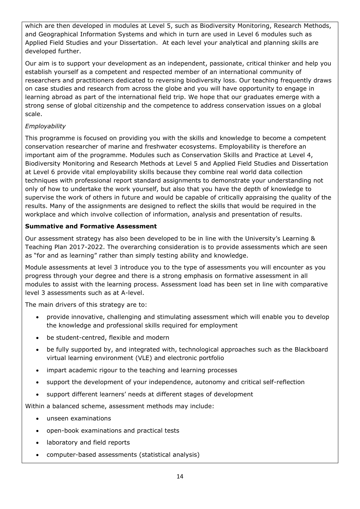which are then developed in modules at Level 5, such as Biodiversity Monitoring, Research Methods, and Geographical Information Systems and which in turn are used in Level 6 modules such as Applied Field Studies and your Dissertation. At each level your analytical and planning skills are developed further.

Our aim is to support your development as an independent, passionate, critical thinker and help you establish yourself as a competent and respected member of an international community of researchers and practitioners dedicated to reversing biodiversity loss. Our teaching frequently draws on case studies and research from across the globe and you will have opportunity to engage in learning abroad as part of the international field trip. We hope that our graduates emerge with a strong sense of global citizenship and the competence to address conservation issues on a global scale.

## *Employability*

This programme is focused on providing you with the skills and knowledge to become a competent conservation researcher of marine and freshwater ecosystems. Employability is therefore an important aim of the programme. Modules such as Conservation Skills and Practice at Level 4, Biodiversity Monitoring and Research Methods at Level 5 and Applied Field Studies and Dissertation at Level 6 provide vital employability skills because they combine real world data collection techniques with professional report standard assignments to demonstrate your understanding not only of how to undertake the work yourself, but also that you have the depth of knowledge to supervise the work of others in future and would be capable of critically appraising the quality of the results. Many of the assignments are designed to reflect the skills that would be required in the workplace and which involve collection of information, analysis and presentation of results.

## **Summative and Formative Assessment**

Our assessment strategy has also been developed to be in line with the University's Learning & Teaching Plan 2017-2022. The overarching consideration is to provide assessments which are seen as "for and as learning" rather than simply testing ability and knowledge.

Module assessments at level 3 introduce you to the type of assessments you will encounter as you progress through your degree and there is a strong emphasis on formative assessment in all modules to assist with the learning process. Assessment load has been set in line with comparative level 3 assessments such as at A-level.

The main drivers of this strategy are to:

- provide innovative, challenging and stimulating assessment which will enable you to develop the knowledge and professional skills required for employment
- be student-centred, flexible and modern
- be fully supported by, and integrated with, technological approaches such as the Blackboard virtual learning environment (VLE) and electronic portfolio
- impart academic rigour to the teaching and learning processes
- support the development of your independence, autonomy and critical self-reflection
- support different learners' needs at different stages of development

Within a balanced scheme, assessment methods may include:

- unseen examinations
- open-book examinations and practical tests
- laboratory and field reports
- computer-based assessments (statistical analysis)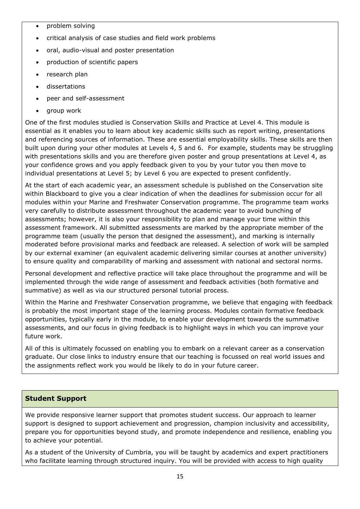- problem solving
- critical analysis of case studies and field work problems
- oral, audio-visual and poster presentation
- production of scientific papers
- research plan
- dissertations
- peer and self-assessment
- group work

One of the first modules studied is Conservation Skills and Practice at Level 4. This module is essential as it enables you to learn about key academic skills such as report writing, presentations and referencing sources of information. These are essential employability skills. These skills are then built upon during your other modules at Levels 4, 5 and 6. For example, students may be struggling with presentations skills and you are therefore given poster and group presentations at Level 4, as your confidence grows and you apply feedback given to you by your tutor you then move to individual presentations at Level 5; by Level 6 you are expected to present confidently.

At the start of each academic year, an assessment schedule is published on the Conservation site within Blackboard to give you a clear indication of when the deadlines for submission occur for all modules within your Marine and Freshwater Conservation programme. The programme team works very carefully to distribute assessment throughout the academic year to avoid bunching of assessments; however, it is also your responsibility to plan and manage your time within this assessment framework. All submitted assessments are marked by the appropriate member of the programme team (usually the person that designed the assessment), and marking is internally moderated before provisional marks and feedback are released. A selection of work will be sampled by our external examiner (an equivalent academic delivering similar courses at another university) to ensure quality and comparability of marking and assessment with national and sectoral norms.

Personal development and reflective practice will take place throughout the programme and will be implemented through the wide range of assessment and feedback activities (both formative and summative) as well as via our structured personal tutorial process.

Within the Marine and Freshwater Conservation programme, we believe that engaging with feedback is probably the most important stage of the learning process. Modules contain formative feedback opportunities, typically early in the module, to enable your development towards the summative assessments, and our focus in giving feedback is to highlight ways in which you can improve your future work.

All of this is ultimately focussed on enabling you to embark on a relevant career as a conservation graduate. Our close links to industry ensure that our teaching is focussed on real world issues and the assignments reflect work you would be likely to do in your future career.

#### **Student Support**

We provide responsive learner support that promotes student success. Our approach to learner support is designed to support achievement and progression, champion inclusivity and accessibility, prepare you for opportunities beyond study, and promote independence and resilience, enabling you to achieve your potential.

As a student of the University of Cumbria, you will be taught by academics and expert practitioners who facilitate learning through structured inquiry. You will be provided with access to high quality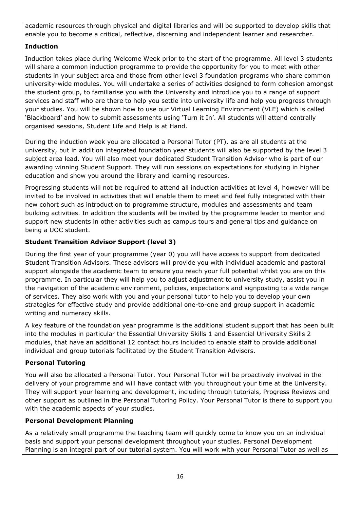academic resources through physical and digital libraries and will be supported to develop skills that enable you to become a critical, reflective, discerning and independent learner and researcher.

## **Induction**

Induction takes place during Welcome Week prior to the start of the programme. All level 3 students will share a common induction programme to provide the opportunity for you to meet with other students in your subject area and those from other level 3 foundation programs who share common university-wide modules. You will undertake a series of activities designed to form cohesion amongst the student group, to familiarise you with the University and introduce you to a range of support services and staff who are there to help you settle into university life and help you progress through your studies. You will be shown how to use our Virtual Learning Environment (VLE) which is called 'Blackboard' and how to submit assessments using 'Turn it In'. All students will attend centrally organised sessions, Student Life and Help is at Hand.

During the induction week you are allocated a Personal Tutor (PT), as are all students at the university, but in addition integrated foundation year students will also be supported by the level 3 subject area lead. You will also meet your dedicated Student Transition Advisor who is part of our awarding winning Student Support. They will run sessions on expectations for studying in higher education and show you around the library and learning resources.

Progressing students will not be required to attend all induction activities at level 4, however will be invited to be involved in activities that will enable them to meet and feel fully integrated with their new cohort such as introduction to programme structure, modules and assessments and team building activities. In addition the students will be invited by the programme leader to mentor and support new students in other activities such as campus tours and general tips and guidance on being a UOC student.

## **Student Transition Advisor Support (level 3)**

During the first year of your programme (year 0) you will have access to support from dedicated Student Transition Advisors. These advisors will provide you with individual academic and pastoral support alongside the academic team to ensure you reach your full potential whilst you are on this programme. In particular they will help you to adjust adjustment to university study, assist you in the navigation of the academic environment, policies, expectations and signposting to a wide range of services. They also work with you and your personal tutor to help you to develop your own strategies for effective study and provide additional one-to-one and group support in academic writing and numeracy skills.

A key feature of the foundation year programme is the additional student support that has been built into the modules in particular the Essential University Skills 1 and Essential University Skills 2 modules, that have an additional 12 contact hours included to enable staff to provide additional individual and group tutorials facilitated by the Student Transition Advisors.

## **Personal Tutoring**

You will also be allocated a Personal Tutor. Your Personal Tutor will be proactively involved in the delivery of your programme and will have contact with you throughout your time at the University. They will support your learning and development, including through tutorials, Progress Reviews and other support as outlined in the Personal Tutoring Policy. Your Personal Tutor is there to support you with the academic aspects of your studies.

## **Personal Development Planning**

As a relatively small programme the teaching team will quickly come to know you on an individual basis and support your personal development throughout your studies. Personal Development Planning is an integral part of our tutorial system. You will work with your Personal Tutor as well as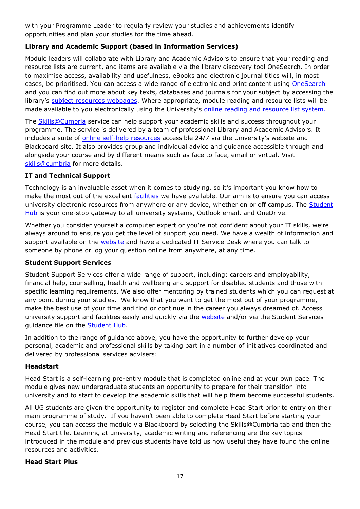with your Programme Leader to regularly review your studies and achievements identify opportunities and plan your studies for the time ahead.

## **Library and Academic Support (based in Information Services)**

Module leaders will collaborate with Library and Academic Advisors to ensure that your reading and resource lists are current, and items are available via the library discovery tool OneSearch. In order to maximise access, availability and usefulness, eBooks and electronic journal titles will, in most cases, be prioritised. You can access a wide range of electronic and print content using [OneSearch](http://cumbria-primo.hosted.exlibrisgroup.com/primo_library/libweb/action/search.do?vid=44UOC_VU1) and you can find out more about key texts, databases and journals for your subject by accessing the library's [subject resources webpages.](http://my.cumbria.ac.uk/StudentLife/Learning/Resources/Subjects/Home.aspx) Where appropriate, module reading and resource lists will be made available to you electronically using the University's [online reading and resource list system.](https://eu.alma.exlibrisgroup.com/leganto/readinglist/lists)

The **Skills@Cumbria** service can help support your academic skills and success throughout your programme. The service is delivered by a team of professional Library and Academic Advisors. It includes a suite of [online self-help resources](https://my.cumbria.ac.uk/Student-Life/Learning/Skills-Cumbria/) accessible 24/7 via the University's website and Blackboard site. It also provides group and individual advice and guidance accessible through and alongside your course and by different means such as face to face, email or virtual. Visit [skills@cumbria](https://my.cumbria.ac.uk/Student-Life/Learning/Skills-Cumbria/) for more details.

## **IT and Technical Support**

Technology is an invaluable asset when it comes to studying, so it's important you know how to make the most out of the excellent [facilities](https://www.cumbria.ac.uk/student-life/facilities/it-facilities/) we have available. Our aim is to ensure you can access university electronic resources from anywhere or any device, whether on or off campus. The [Student](https://universityofcumbria.mydaycloud.com/dashboard/allsorts)  [Hub](https://universityofcumbria.mydaycloud.com/dashboard/allsorts) is your one-stop gateway to all university systems, Outlook email, and OneDrive.

Whether you consider yourself a computer expert or you're not confident about your IT skills, we're always around to ensure you get the level of support you need. We have a wealth of information and support available on the [website](https://my.cumbria.ac.uk/Student-Life/it-media/) and have a dedicated IT Service Desk where you can talk to someone by phone or log your question online from anywhere, at any time.

#### **Student Support Services**

Student Support Services offer a wide range of support, including: careers and employability, financial help, counselling, health and wellbeing and support for disabled students and those with specific learning requirements. We also offer mentoring by trained students which you can request at any point during your studies. We know that you want to get the most out of your programme, make the best use of your time and find or continue in the career you always dreamed of. Access university support and facilities easily and quickly via the [website](https://my.cumbria.ac.uk/) and/or via the Student Services guidance tile on the [Student Hub.](https://universityofcumbria.mydaycloud.com/dashboard/staff-home)

In addition to the range of guidance above, you have the opportunity to further develop your personal, academic and professional skills by taking part in a number of initiatives coordinated and delivered by professional services advisers:

#### **Headstart**

Head Start is a self-learning pre-entry module that is completed online and at your own pace. The module gives new undergraduate students an opportunity to prepare for their transition into university and to start to develop the academic skills that will help them become successful students.

All UG students are given the opportunity to register and complete Head Start prior to entry on their main programme of study. If you haven't been able to complete Head Start before starting your course, you can access the module via Blackboard by selecting the Skills@Cumbria tab and then the Head Start tile. Learning at university, academic writing and referencing are the key topics introduced in the module and previous students have told us how useful they have found the online resources and activities.

#### **Head Start Plus**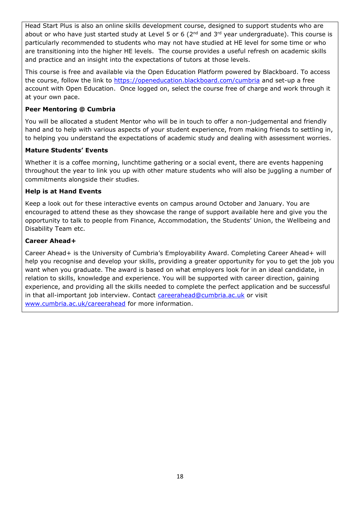Head Start Plus is also an online skills development course, designed to support students who are about or who have just started study at Level 5 or 6 ( $2<sup>nd</sup>$  and  $3<sup>rd</sup>$  year undergraduate). This course is particularly recommended to students who may not have studied at HE level for some time or who are transitioning into the higher HE levels. The course provides a useful refresh on academic skills and practice and an insight into the expectations of tutors at those levels.

This course is free and available via the Open Education Platform powered by Blackboard. To access the course, follow the link to<https://openeducation.blackboard.com/cumbria> and set-up a free account with Open Education. Once logged on, select the course free of charge and work through it at your own pace.

#### **Peer Mentoring @ Cumbria**

You will be allocated a student Mentor who will be in touch to offer a non-judgemental and friendly hand and to help with various aspects of your student experience, from making friends to settling in, to helping you understand the expectations of academic study and dealing with assessment worries.

#### **Mature Students' Events**

Whether it is a coffee morning, lunchtime gathering or a social event, there are events happening throughout the year to link you up with other mature students who will also be juggling a number of commitments alongside their studies.

#### **Help is at Hand Events**

Keep a look out for these interactive events on campus around October and January. You are encouraged to attend these as they showcase the range of support available here and give you the opportunity to talk to people from Finance, Accommodation, the Students' Union, the Wellbeing and Disability Team etc.

#### **Career Ahead+**

Career Ahead+ is the University of Cumbria's Employability Award. Completing Career Ahead+ will help you recognise and develop your skills, providing a greater opportunity for you to get the job you want when you graduate. The award is based on what employers look for in an ideal candidate, in relation to skills, knowledge and experience. You will be supported with career direction, gaining experience, and providing all the skills needed to complete the perfect application and be successful in that all-important job interview. Contact [careerahead@cumbria.ac.uk](mailto:careerahead@cumbria.ac.uk) or visit [www.cumbria.ac.uk/careerahead](http://www.cumbria.ac.uk/careerahead) for more information.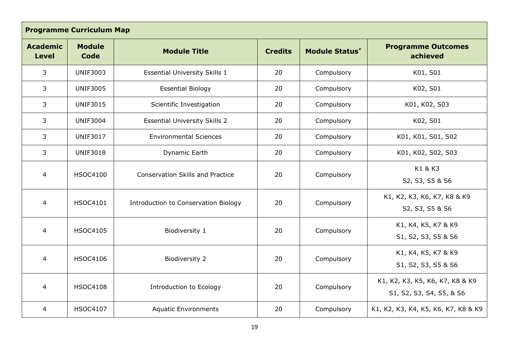| <b>Programme Curriculum Map</b> |                              |                                         |                |                       |                                                             |
|---------------------------------|------------------------------|-----------------------------------------|----------------|-----------------------|-------------------------------------------------------------|
| <b>Academic</b><br><b>Level</b> | <b>Module</b><br><b>Code</b> | <b>Module Title</b>                     | <b>Credits</b> | <b>Module Status*</b> | <b>Programme Outcomes</b><br>achieved                       |
| 3                               | <b>UNIF3003</b>              | <b>Essential University Skills 1</b>    | 20             | Compulsory            | K01, S01                                                    |
| 3                               | <b>UNIF3005</b>              | <b>Essential Biology</b>                | 20             | Compulsory            | K02, S01                                                    |
| 3                               | <b>UNIF3015</b>              | Scientific Investigation                | 20             | Compulsory            | K01, K02, S03                                               |
| $\overline{3}$                  | <b>UNIF3004</b>              | <b>Essential University Skills 2</b>    | 20             | Compulsory            | K02, S01                                                    |
| 3                               | <b>UNIF3017</b>              | <b>Environmental Sciences</b>           | 20             | Compulsory            | K01, K01, S01, S02                                          |
| $\mathbf{3}$                    | <b>UNIF3018</b>              | Dynamic Earth                           | 20             | Compulsory            | K01, K02, S02, S03                                          |
| $\overline{4}$                  | <b>HSOC4100</b>              | <b>Conservation Skills and Practice</b> | 20             | Compulsory            | K1 & K3<br>S2, S3, S5 & S6                                  |
| 4                               | <b>HSOC4101</b>              | Introduction to Conservation Biology    | 20             | Compulsory            | K1, K2, K3, K6, K7, K8 & K9<br>S2, S3, S5 & S6              |
| $\overline{4}$                  | <b>HSOC4105</b>              | Biodiversity 1                          | 20             | Compulsory            | K1, K4, K5, K7 & K9<br>S1, S2, S3, S5 & S6                  |
| $\overline{4}$                  | <b>HSOC4106</b>              | Biodiversity 2                          | 20             | Compulsory            | K1, K4, K5, K7 & K9<br>S1, S2, S3, S5 & S6                  |
| $\overline{4}$                  | <b>HSOC4108</b>              | Introduction to Ecology                 | 20             | Compulsory            | K1, K2, K3, K5, K6, K7, K8 & K9<br>S1, S2, S3, S4, S5, & S6 |
| $\overline{4}$                  | <b>HSOC4107</b>              | <b>Aquatic Environments</b>             | 20             | Compulsory            | K1, K2, K3, K4, K5, K6, K7, K8 & K9                         |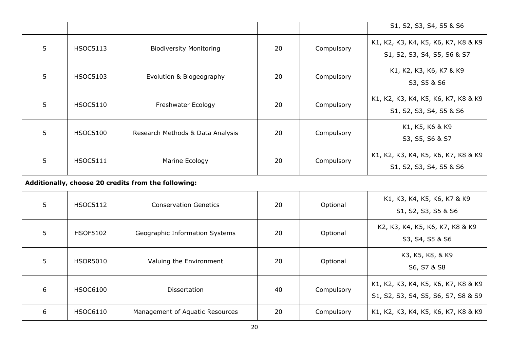|                                                     |                 |                                  |    |            | S1, S2, S3, S4, S5 & S6                                                    |
|-----------------------------------------------------|-----------------|----------------------------------|----|------------|----------------------------------------------------------------------------|
| 5                                                   | <b>HSOC5113</b> | <b>Biodiversity Monitoring</b>   | 20 | Compulsory | K1, K2, K3, K4, K5, K6, K7, K8 & K9<br>S1, S2, S3, S4, S5, S6 & S7         |
| 5                                                   | <b>HSOC5103</b> | Evolution & Biogeography         | 20 | Compulsory | K1, K2, K3, K6, K7 & K9<br>S3, S5 & S6                                     |
| 5                                                   | <b>HSOC5110</b> | Freshwater Ecology               | 20 | Compulsory | K1, K2, K3, K4, K5, K6, K7, K8 & K9<br>S1, S2, S3, S4, S5 & S6             |
| 5                                                   | <b>HSOC5100</b> | Research Methods & Data Analysis | 20 | Compulsory | K1, K5, K6 & K9<br>S3, S5, S6 & S7                                         |
| 5                                                   | <b>HSOC5111</b> | Marine Ecology                   | 20 | Compulsory | K1, K2, K3, K4, K5, K6, K7, K8 & K9<br>S1, S2, S3, S4, S5 & S6             |
| Additionally, choose 20 credits from the following: |                 |                                  |    |            |                                                                            |
| 5                                                   | <b>HSOC5112</b> | <b>Conservation Genetics</b>     | 20 | Optional   | K1, K3, K4, K5, K6, K7 & K9<br>S1, S2, S3, S5 & S6                         |
| 5                                                   | <b>HSOF5102</b> | Geographic Information Systems   | 20 | Optional   | K2, K3, K4, K5, K6, K7, K8 & K9<br>S3, S4, S5 & S6                         |
| 5                                                   | <b>HSOR5010</b> | Valuing the Environment          | 20 | Optional   | K3, K5, K8, & K9<br>S6, S7 & S8                                            |
| 6                                                   | <b>HSOC6100</b> | Dissertation                     | 40 | Compulsory | K1, K2, K3, K4, K5, K6, K7, K8 & K9<br>S1, S2, S3, S4, S5, S6, S7, S8 & S9 |
| 6                                                   | <b>HSOC6110</b> | Management of Aquatic Resources  | 20 | Compulsory | K1, K2, K3, K4, K5, K6, K7, K8 & K9                                        |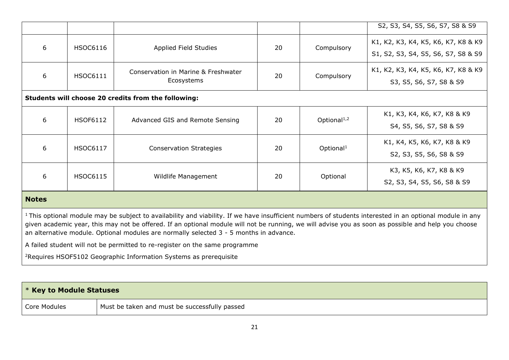|                                                                                                                                                                                                                                                                                                                            |                 |                                                                       |    |                                                                | S2, S3, S4, S5, S6, S7, S8 & S9                                            |
|----------------------------------------------------------------------------------------------------------------------------------------------------------------------------------------------------------------------------------------------------------------------------------------------------------------------------|-----------------|-----------------------------------------------------------------------|----|----------------------------------------------------------------|----------------------------------------------------------------------------|
| 6                                                                                                                                                                                                                                                                                                                          | <b>HSOC6116</b> | Applied Field Studies                                                 | 20 | Compulsory                                                     | K1, K2, K3, K4, K5, K6, K7, K8 & K9<br>S1, S2, S3, S4, S5, S6, S7, S8 & S9 |
| 6                                                                                                                                                                                                                                                                                                                          | <b>HSOC6111</b> | Conservation in Marine & Freshwater<br>20<br>Compulsory<br>Ecosystems |    | K1, K2, K3, K4, K5, K6, K7, K8 & K9<br>S3, S5, S6, S7, S8 & S9 |                                                                            |
| Students will choose 20 credits from the following:                                                                                                                                                                                                                                                                        |                 |                                                                       |    |                                                                |                                                                            |
| 6                                                                                                                                                                                                                                                                                                                          | <b>HSOF6112</b> | Advanced GIS and Remote Sensing                                       | 20 | Optional <sup>1,2</sup>                                        | K1, K3, K4, K6, K7, K8 & K9<br>S4, S5, S6, S7, S8 & S9                     |
| 6                                                                                                                                                                                                                                                                                                                          | <b>HSOC6117</b> | <b>Conservation Strategies</b>                                        | 20 | Optional <sup>1</sup>                                          | K1, K4, K5, K6, K7, K8 & K9<br>S2, S3, S5, S6, S8 & S9                     |
| 6<br><b>HSOC6115</b><br>20<br>Optional<br>Wildlife Management                                                                                                                                                                                                                                                              |                 | K3, K5, K6, K7, K8 & K9<br>S2, S3, S4, S5, S6, S8 & S9                |    |                                                                |                                                                            |
| <b>Notes</b>                                                                                                                                                                                                                                                                                                               |                 |                                                                       |    |                                                                |                                                                            |
| <sup>1</sup> This optional module may be subject to availability and viability. If we have insufficient numbers of students interested in an optional module in any<br>given academic year, this may not be offered. If an optional module will not be running, we will advise you as soon as possible and help you choose |                 |                                                                       |    |                                                                |                                                                            |

A failed student will not be permitted to re-register on the same programme

an alternative module. Optional modules are normally selected 3 - 5 months in advance.

<sup>2</sup>Requires HSOF5102 Geographic Information Systems as prerequisite

| $\mathsf{I}$ * Key to Module Statuses |                                               |
|---------------------------------------|-----------------------------------------------|
| Core Modules                          | Must be taken and must be successfully passed |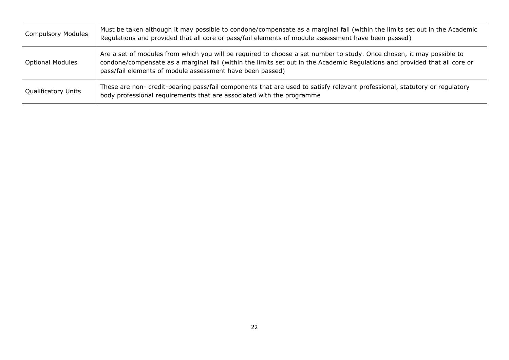| <b>Compulsory Modules</b>  | Must be taken although it may possible to condone/compensate as a marginal fail (within the limits set out in the Academic<br>Regulations and provided that all core or pass/fail elements of module assessment have been passed)                                                                                |
|----------------------------|------------------------------------------------------------------------------------------------------------------------------------------------------------------------------------------------------------------------------------------------------------------------------------------------------------------|
| <b>Optional Modules</b>    | Are a set of modules from which you will be required to choose a set number to study. Once chosen, it may possible to<br>condone/compensate as a marginal fail (within the limits set out in the Academic Regulations and provided that all core or<br>pass/fail elements of module assessment have been passed) |
| <b>Qualificatory Units</b> | These are non- credit-bearing pass/fail components that are used to satisfy relevant professional, statutory or regulatory<br>body professional requirements that are associated with the programme                                                                                                              |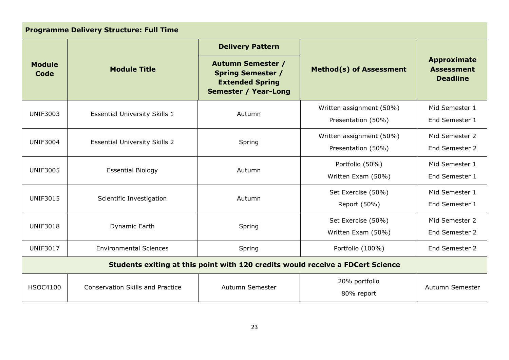| <b>Programme Delivery Structure: Full Time</b>                                 |                                         |                                                                                                               |                                                |                                                            |
|--------------------------------------------------------------------------------|-----------------------------------------|---------------------------------------------------------------------------------------------------------------|------------------------------------------------|------------------------------------------------------------|
|                                                                                |                                         | <b>Delivery Pattern</b>                                                                                       |                                                |                                                            |
| <b>Module</b><br>Code                                                          | <b>Module Title</b>                     | <b>Autumn Semester /</b><br><b>Spring Semester /</b><br><b>Extended Spring</b><br><b>Semester / Year-Long</b> | <b>Method(s) of Assessment</b>                 | <b>Approximate</b><br><b>Assessment</b><br><b>Deadline</b> |
| <b>UNIF3003</b>                                                                | <b>Essential University Skills 1</b>    | Autumn                                                                                                        | Written assignment (50%)<br>Presentation (50%) | Mid Semester 1<br>End Semester 1                           |
| <b>UNIF3004</b>                                                                | <b>Essential University Skills 2</b>    | Spring                                                                                                        | Written assignment (50%)<br>Presentation (50%) | Mid Semester 2<br>End Semester 2                           |
| <b>UNIF3005</b>                                                                | <b>Essential Biology</b>                | Autumn                                                                                                        | Portfolio (50%)<br>Written Exam (50%)          | Mid Semester 1<br>End Semester 1                           |
| <b>UNIF3015</b>                                                                | Scientific Investigation                | Autumn                                                                                                        | Set Exercise (50%)<br>Report (50%)             | Mid Semester 1<br>End Semester 1                           |
| <b>UNIF3018</b>                                                                | Dynamic Earth                           | Spring                                                                                                        | Set Exercise (50%)<br>Written Exam (50%)       | Mid Semester 2<br>End Semester 2                           |
| <b>UNIF3017</b>                                                                | <b>Environmental Sciences</b>           | Spring                                                                                                        | Portfolio (100%)                               | End Semester 2                                             |
| Students exiting at this point with 120 credits would receive a FDCert Science |                                         |                                                                                                               |                                                |                                                            |
| <b>HSOC4100</b>                                                                | <b>Conservation Skills and Practice</b> | Autumn Semester                                                                                               | 20% portfolio<br>80% report                    | Autumn Semester                                            |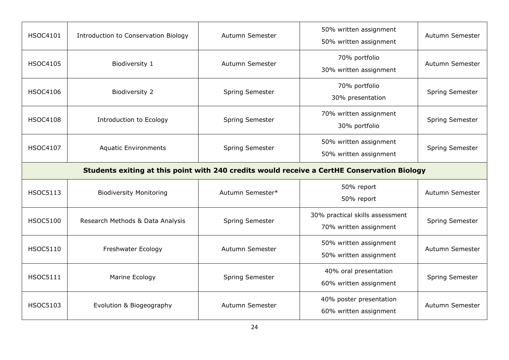| <b>HSOC4101</b>                                                                             | Introduction to Conservation Biology | Autumn Semester  | 50% written assignment<br>50% written assignment          | Autumn Semester |
|---------------------------------------------------------------------------------------------|--------------------------------------|------------------|-----------------------------------------------------------|-----------------|
| <b>HSOC4105</b>                                                                             | Biodiversity 1                       | Autumn Semester  | 70% portfolio<br>30% written assignment                   | Autumn Semester |
| <b>HSOC4106</b>                                                                             | Biodiversity 2                       | Spring Semester  | 70% portfolio<br>30% presentation                         | Spring Semester |
| <b>HSOC4108</b>                                                                             | Introduction to Ecology              | Spring Semester  | 70% written assignment<br>30% portfolio                   | Spring Semester |
| <b>HSOC4107</b>                                                                             | <b>Aquatic Environments</b>          | Spring Semester  | 50% written assignment<br>50% written assignment          | Spring Semester |
| Students exiting at this point with 240 credits would receive a CertHE Conservation Biology |                                      |                  |                                                           |                 |
| <b>HSOC5113</b>                                                                             | <b>Biodiversity Monitoring</b>       | Autumn Semester* | 50% report<br>50% report                                  | Autumn Semester |
| <b>HSOC5100</b>                                                                             | Research Methods & Data Analysis     | Spring Semester  | 30% practical skills assessment<br>70% written assignment | Spring Semester |
| <b>HSOC5110</b>                                                                             | Freshwater Ecology                   | Autumn Semester  | 50% written assignment<br>50% written assignment          | Autumn Semester |
| <b>HSOC5111</b>                                                                             | Marine Ecology                       | Spring Semester  | 40% oral presentation<br>60% written assignment           | Spring Semester |
| <b>HSOC5103</b>                                                                             | Evolution & Biogeography             | Autumn Semester  | 40% poster presentation<br>60% written assignment         | Autumn Semester |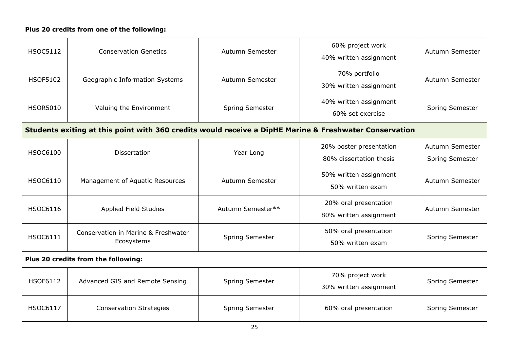|                 | Plus 20 credits from one of the following:                                                             |                   |                                                    |                                    |
|-----------------|--------------------------------------------------------------------------------------------------------|-------------------|----------------------------------------------------|------------------------------------|
| <b>HSOC5112</b> | <b>Conservation Genetics</b>                                                                           | Autumn Semester   | 60% project work<br>40% written assignment         | Autumn Semester                    |
| <b>HSOF5102</b> | Geographic Information Systems                                                                         | Autumn Semester   | 70% portfolio<br>30% written assignment            | Autumn Semester                    |
| <b>HSOR5010</b> | Valuing the Environment                                                                                | Spring Semester   | 40% written assignment<br>60% set exercise         | Spring Semester                    |
|                 | Students exiting at this point with 360 credits would receive a DipHE Marine & Freshwater Conservation |                   |                                                    |                                    |
| <b>HSOC6100</b> | <b>Dissertation</b>                                                                                    | Year Long         | 20% poster presentation<br>80% dissertation thesis | Autumn Semester<br>Spring Semester |
| <b>HSOC6110</b> | Management of Aquatic Resources                                                                        | Autumn Semester   | 50% written assignment<br>50% written exam         | Autumn Semester                    |
| <b>HSOC6116</b> | Applied Field Studies                                                                                  | Autumn Semester** | 20% oral presentation<br>80% written assignment    | Autumn Semester                    |
| <b>HSOC6111</b> | Conservation in Marine & Freshwater<br>Ecosystems                                                      | Spring Semester   | 50% oral presentation<br>50% written exam          | Spring Semester                    |
|                 | Plus 20 credits from the following:                                                                    |                   |                                                    |                                    |
| <b>HSOF6112</b> | Advanced GIS and Remote Sensing                                                                        | Spring Semester   | 70% project work<br>30% written assignment         | Spring Semester                    |
| <b>HSOC6117</b> | <b>Conservation Strategies</b>                                                                         | Spring Semester   | 60% oral presentation                              | <b>Spring Semester</b>             |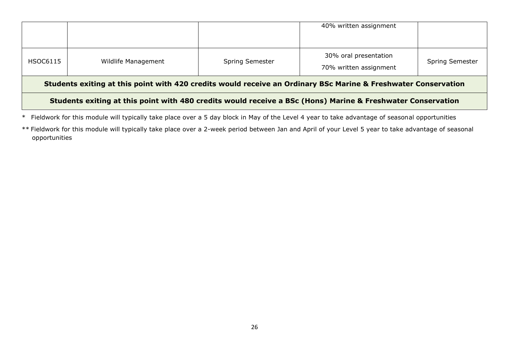| Students exiting at this point with 480 credits would receive a BSc (Hons) Marine & Freshwater Conservation    |                     |                        |                                                 |                        |  |
|----------------------------------------------------------------------------------------------------------------|---------------------|------------------------|-------------------------------------------------|------------------------|--|
| Students exiting at this point with 420 credits would receive an Ordinary BSc Marine & Freshwater Conservation |                     |                        |                                                 |                        |  |
| HSOC6115                                                                                                       | Wildlife Management | <b>Spring Semester</b> | 30% oral presentation<br>70% written assignment | <b>Spring Semester</b> |  |
|                                                                                                                |                     |                        | 40% written assignment                          |                        |  |

\* Fieldwork for this module will typically take place over a 5 day block in May of the Level 4 year to take advantage of seasonal opportunities

\*\* Fieldwork for this module will typically take place over a 2-week period between Jan and April of your Level 5 year to take advantage of seasonal opportunities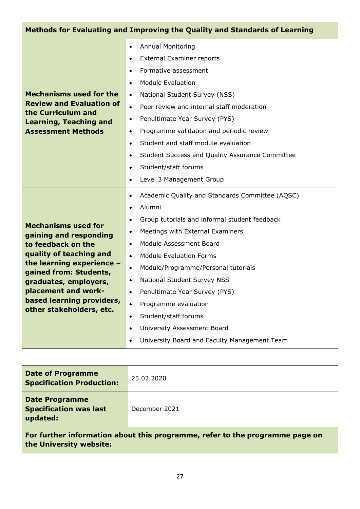|                                                                                                                                                                                                                                                                       | Methods for Evaluating and Improving the Quality and Standards of Learning                                                                                                                                                                                                                                                                                                                                                                                                                                                                                                                                    |
|-----------------------------------------------------------------------------------------------------------------------------------------------------------------------------------------------------------------------------------------------------------------------|---------------------------------------------------------------------------------------------------------------------------------------------------------------------------------------------------------------------------------------------------------------------------------------------------------------------------------------------------------------------------------------------------------------------------------------------------------------------------------------------------------------------------------------------------------------------------------------------------------------|
| <b>Mechanisms used for the</b><br><b>Review and Evaluation of</b><br>the Curriculum and<br><b>Learning, Teaching and</b><br><b>Assessment Methods</b>                                                                                                                 | <b>Annual Monitoring</b><br>$\bullet$<br><b>External Examiner reports</b><br>$\bullet$<br>Formative assessment<br>$\bullet$<br><b>Module Evaluation</b><br>$\bullet$<br>National Student Survey (NSS)<br>$\bullet$<br>Peer review and internal staff moderation<br>$\bullet$<br>Penultimate Year Survey (PYS)<br>$\bullet$<br>Programme validation and periodic review<br>٠<br>Student and staff module evaluation<br>$\bullet$<br>Student Success and Quality Assurance Committee<br>٠<br>Student/staff forums<br>$\bullet$<br>Level 3 Management Group<br>$\bullet$                                         |
| <b>Mechanisms used for</b><br>gaining and responding<br>to feedback on the<br>quality of teaching and<br>the learning experience -<br>gained from: Students,<br>graduates, employers,<br>placement and work-<br>based learning providers,<br>other stakeholders, etc. | Academic Quality and Standards Committee (AQSC)<br>$\bullet$<br>Alumni<br>$\bullet$<br>Group tutorials and informal student feedback<br>$\bullet$<br>Meetings with External Examiners<br>$\bullet$<br>Module Assessment Board<br>$\bullet$<br><b>Module Evaluation Forms</b><br>$\bullet$<br>Module/Programme/Personal tutorials<br>$\bullet$<br>National Student Survey NSS<br>$\bullet$<br>Penultimate Year Survey (PYS)<br>Programme evaluation<br>$\bullet$<br>Student/staff forums<br>$\bullet$<br>University Assessment Board<br>$\bullet$<br>University Board and Faculty Management Team<br>$\bullet$ |

| <b>Date of Programme</b><br><b>Specification Production:</b>                 | 25.02.2020    |  |
|------------------------------------------------------------------------------|---------------|--|
| <b>Date Programme</b><br><b>Specification was last</b><br>updated:           | December 2021 |  |
| For further information about this programme, refer to the programme page on |               |  |

**For further information about this programme, refer to the programme page on the University website:**